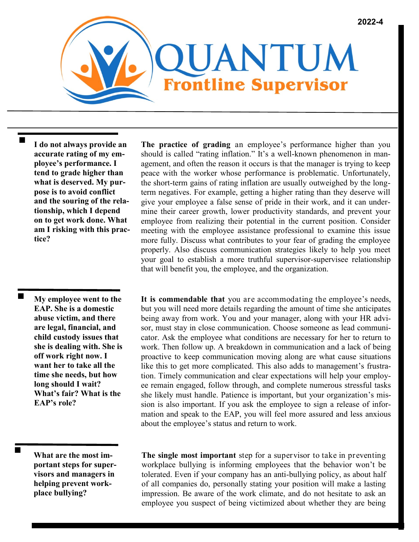

 **I do not always provide an accurate rating of my employee's performance. I tend to grade higher than what is deserved. My purpose is to avoid conflict and the souring of the relationship, which I depend on to get work done. What am I risking with this practice?** 

> **My employee went to the EAP. She is a domestic abuse victim, and there are legal, financial, and child custody issues that she is dealing with. She is off work right now. I want her to take all the time she needs, but how long should I wait? What's fair? What is the EAP's role?**

**What are the most important steps for supervisors and managers in helping prevent workplace bullying?** 

**The practice of grading** an employee's performance higher than you should is called "rating inflation." It's a well-known phenomenon in management, and often the reason it occurs is that the manager is trying to keep peace with the worker whose performance is problematic. Unfortunately, the short-term gains of rating inflation are usually outweighed by the longterm negatives. For example, getting a higher rating than they deserve will give your employee a false sense of pride in their work, and it can undermine their career growth, lower productivity standards, and prevent your employee from realizing their potential in the current position. Consider meeting with the employee assistance professional to examine this issue more fully. Discuss what contributes to your fear of grading the employee properly. Also discuss communication strategies likely to help you meet your goal to establish a more truthful supervisor-supervisee relationship that will benefit you, the employee, and the organization.

**It is commendable that** you are accommodating the employee's needs, but you will need more details regarding the amount of time she anticipates being away from work. You and your manager, along with your HR advisor, must stay in close communication. Choose someone as lead communicator. Ask the employee what conditions are necessary for her to return to work. Then follow up. A breakdown in communication and a lack of being proactive to keep communication moving along are what cause situations like this to get more complicated. This also adds to management's frustration. Timely communication and clear expectations will help your employee remain engaged, follow through, and complete numerous stressful tasks she likely must handle. Patience is important, but your organization's mission is also important. If you ask the employee to sign a release of information and speak to the EAP, you will feel more assured and less anxious about the employee's status and return to work.

**The single most important** step for a supervisor to take in preventing workplace bullying is informing employees that the behavior won't be tolerated. Even if your company has an anti-bullying policy, as about half of all companies do, personally stating your position will make a lasting impression. Be aware of the work climate, and do not hesitate to ask an employee you suspect of being victimized about whether they are being